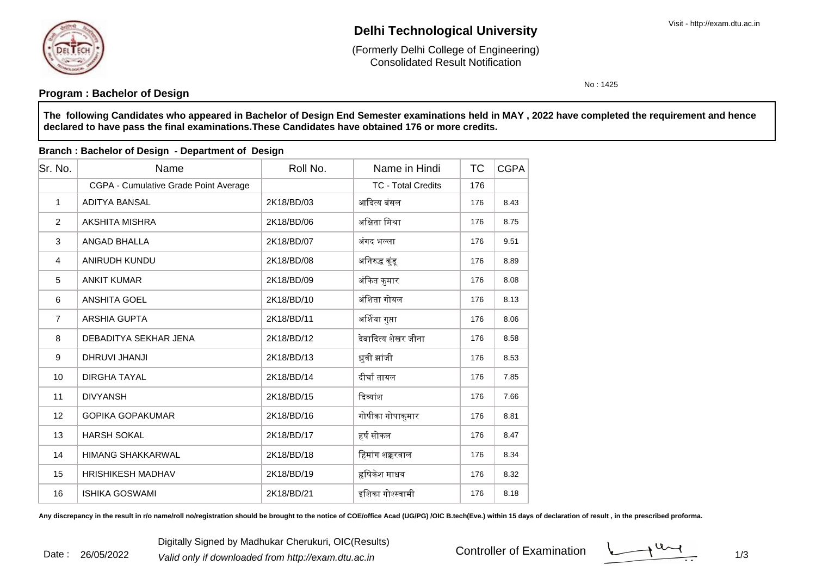

Date : 26/05/2022

# **Delhi Technological University**

Consolidated Result Notification(Formerly Delhi College of Engineering)

No : 1425

## **Program : Bachelor of Design**

**The following Candidates who appeared in Bachelor of Design End Semester examinations held in MAY , 2022 have completed the requirement and hencedeclared to have pass the final examinations.These Candidates have obtained 176 or more credits.**

| Sr. No.        | Name                                  | Roll No.   | Name in Hindi             | <b>TC</b> | <b>CGPA</b> |
|----------------|---------------------------------------|------------|---------------------------|-----------|-------------|
|                | CGPA - Cumulative Grade Point Average |            | <b>TC - Total Credits</b> | 176       |             |
| $\mathbf{1}$   | <b>ADITYA BANSAL</b>                  | 2K18/BD/03 | आदित्य बंसल               | 176       | 8.43        |
| 2              | AKSHITA MISHRA                        | 2K18/BD/06 | अक्षिता मिश्रा            | 176       | 8.75        |
| 3              | ANGAD BHALLA                          | 2K18/BD/07 | अंगद भल्ला                | 176       | 9.51        |
| $\overline{4}$ | ANIRUDH KUNDU                         | 2K18/BD/08 | अनिरुद्ध कुंडू            | 176       | 8.89        |
| 5              | <b>ANKIT KUMAR</b>                    | 2K18/BD/09 | अंकित कुमार               | 176       | 8.08        |
| 6              | <b>ANSHITA GOEL</b>                   | 2K18/BD/10 | अंशिता गोयल               | 176       | 8.13        |
| $\overline{7}$ | <b>ARSHIA GUPTA</b>                   | 2K18/BD/11 | अर्शिया गुप्ता            | 176       | 8.06        |
| 8              | DEBADITYA SEKHAR JENA                 | 2K18/BD/12 | देबादित्य शेखर जीना       | 176       | 8.58        |
| 9              | DHRUVI JHANJI                         | 2K18/BD/13 | ध्रुवी झांजी              | 176       | 8.53        |
| 10             | <b>DIRGHA TAYAL</b>                   | 2K18/BD/14 | दीर्घा तायल               | 176       | 7.85        |
| 11             | <b>DIVYANSH</b>                       | 2K18/BD/15 | दिव्यांश                  | 176       | 7.66        |
| 12             | <b>GOPIKA GOPAKUMAR</b>               | 2K18/BD/16 | गोपीका गोपाकुमार          | 176       | 8.81        |
| 13             | <b>HARSH SOKAL</b>                    | 2K18/BD/17 | हर्ष सोकल                 | 176       | 8.47        |
| 14             | <b>HIMANG SHAKKARWAL</b>              | 2K18/BD/18 | हिमांग शक्करवाल           | 176       | 8.34        |
| 15             | <b>HRISHIKESH MADHAV</b>              | 2K18/BD/19 | हृषिकेश माधव              | 176       | 8.32        |
| 16             | <b>ISHIKA GOSWAMI</b>                 | 2K18/BD/21 | इशिका गोश्स्वामी          | 176       | 8.18        |

**Branch : Bachelor of Design - Department of Design**

Any discrepancy in the result in r/o name/roll no/registration should be brought to the notice of COE/office Acad (UG/PG) /OIC B.tech(Eve.) within 15 days of declaration of result, in the prescribed proforma.

Digitally Signed by Madhukar Cherukuri, OIC(Results)<br><sup>2</sup> Valid only if downloaded from http://exam.dtu.ac.in Controller of Examination

Controller of Examination

 $1/3$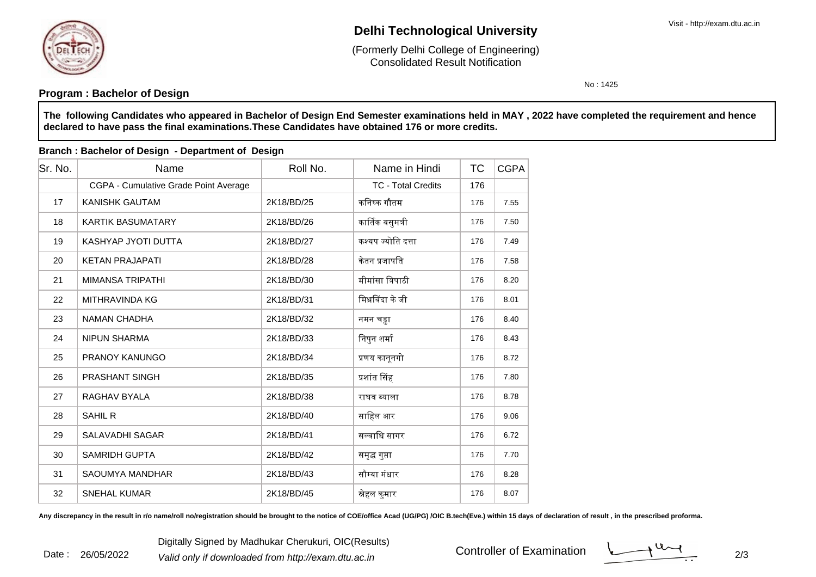

Date : 26/05/2022

# **Delhi Technological University**

Consolidated Result Notification(Formerly Delhi College of Engineering)

No : 1425

## **Program : Bachelor of Design**

**The following Candidates who appeared in Bachelor of Design End Semester examinations held in MAY , 2022 have completed the requirement and hencedeclared to have pass the final examinations.These Candidates have obtained 176 or more credits.**

| Sr. No. | Name                                  | Roll No.   | Name in Hindi             | <b>TC</b> | <b>CGPA</b> |
|---------|---------------------------------------|------------|---------------------------|-----------|-------------|
|         | CGPA - Cumulative Grade Point Average |            | <b>TC - Total Credits</b> | 176       |             |
| 17      | <b>KANISHK GAUTAM</b>                 | 2K18/BD/25 | कनिष्क गौतम               | 176       | 7.55        |
| 18      | <b>KARTIK BASUMATARY</b>              | 2K18/BD/26 | कार्तिक बसुमत्री          | 176       | 7.50        |
| 19      | KASHYAP JYOTI DUTTA                   | 2K18/BD/27 | कश्यप ज्योति दत्ता        | 176       | 7.49        |
| 20      | <b>KETAN PRAJAPATI</b>                | 2K18/BD/28 | केतन प्रजापति             | 176       | 7.58        |
| 21      | MIMANSA TRIPATHI                      | 2K18/BD/30 | मीमांसा त्रिपाठी          | 176       | 8.20        |
| 22      | MITHRAVINDA KG                        | 2K18/BD/31 | मिथ्रविंदा के जी          | 176       | 8.01        |
| 23      | <b>NAMAN CHADHA</b>                   | 2K18/BD/32 | नमन चड्ढा                 | 176       | 8.40        |
| 24      | <b>NIPUN SHARMA</b>                   | 2K18/BD/33 | निपुन शर्मा               | 176       | 8.43        |
| 25      | <b>PRANOY KANUNGO</b>                 | 2K18/BD/34 | प्रणय कानूनगो             | 176       | 8.72        |
| 26      | <b>PRASHANT SINGH</b>                 | 2K18/BD/35 | प्रशांत सिंह              | 176       | 7.80        |
| 27      | RAGHAV BYALA                          | 2K18/BD/38 | राघव ब्याला               | 176       | 8.78        |
| 28      | <b>SAHIL R</b>                        | 2K18/BD/40 | साहिल आर                  | 176       | 9.06        |
| 29      | <b>SALAVADHI SAGAR</b>                | 2K18/BD/41 | सल्वाधि सागर              | 176       | 6.72        |
| 30      | <b>SAMRIDH GUPTA</b>                  | 2K18/BD/42 | समृद्ध गुप्ता             | 176       | 7.70        |
| 31      | SAOUMYA MANDHAR                       | 2K18/BD/43 | सौम्या मंधार              | 176       | 8.28        |
| 32      | <b>SNEHAL KUMAR</b>                   | 2K18/BD/45 | स्नेहल कुमार              | 176       | 8.07        |

#### **Branch : Bachelor of Design - Department of Design**

Any discrepancy in the result in r/o name/roll no/registration should be brought to the notice of COE/office Acad (UG/PG) /OIC B.tech(Eve.) within 15 days of declaration of result , in the prescribed proforma.

Digitally Signed by Madhukar Cherukuri, OIC(Results)<br><sup>2</sup> Valid only if downloaded from http://exam.dtu.ac.in Controller of Examination

Controller of Examination

 $\frac{1}{2}$  2/3